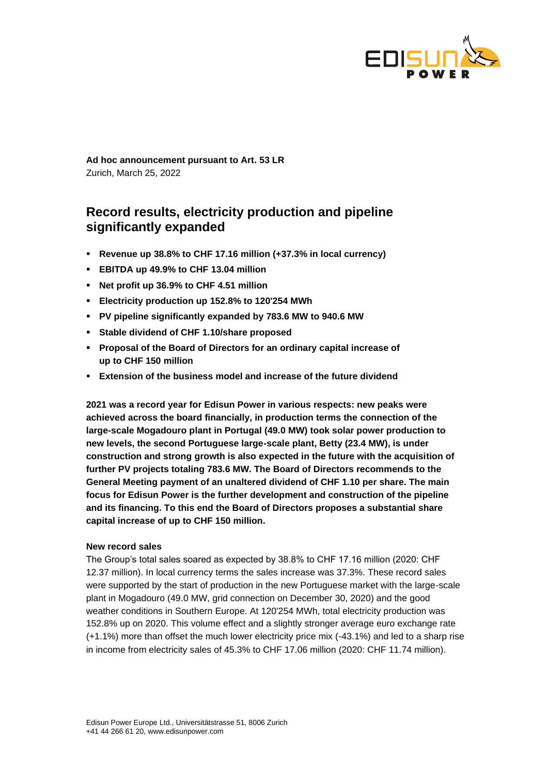

**Ad hoc announcement pursuant to Art. 53 LR** Zurich, March 25, 2022

# **Record results, electricity production and pipeline significantly expanded**

- **Revenue up 38.8% to CHF 17.16 million (+37.3% in local currency)**
- **EBITDA up 49.9% to CHF 13.04 million**
- **Net profit up 36.9% to CHF 4.51 million**
- **Electricity production up 152.8% to 120'254 MWh**
- **PV pipeline significantly expanded by 783.6 MW to 940.6 MW**
- **Stable dividend of CHF 1.10/share proposed**
- **Proposal of the Board of Directors for an ordinary capital increase of up to CHF 150 million**
- **Extension of the business model and increase of the future dividend**

**2021 was a record year for Edisun Power in various respects: new peaks were achieved across the board financially, in production terms the connection of the large-scale Mogadouro plant in Portugal (49.0 MW) took solar power production to new levels, the second Portuguese large-scale plant, Betty (23.4 MW), is under construction and strong growth is also expected in the future with the acquisition of further PV projects totaling 783.6 MW. The Board of Directors recommends to the General Meeting payment of an unaltered dividend of CHF 1.10 per share. The main focus for Edisun Power is the further development and construction of the pipeline and its financing. To this end the Board of Directors proposes a substantial share capital increase of up to CHF 150 million.**

#### **New record sales**

The Group's total sales soared as expected by 38.8% to CHF 17.16 million (2020: CHF 12.37 million). In local currency terms the sales increase was 37.3%. These record sales were supported by the start of production in the new Portuguese market with the large-scale plant in Mogadouro (49.0 MW, grid connection on December 30, 2020) and the good weather conditions in Southern Europe. At 120'254 MWh, total electricity production was 152.8% up on 2020. This volume effect and a slightly stronger average euro exchange rate (+1.1%) more than offset the much lower electricity price mix (-43.1%) and led to a sharp rise in income from electricity sales of 45.3% to CHF 17.06 million (2020: CHF 11.74 million).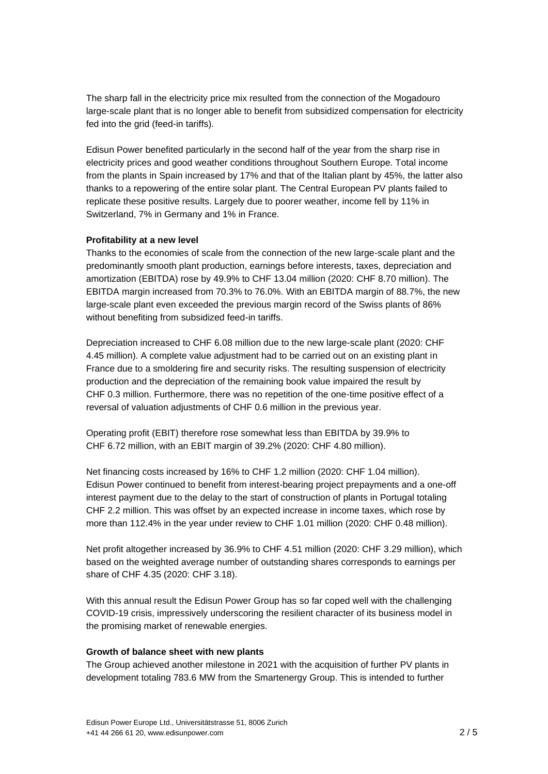The sharp fall in the electricity price mix resulted from the connection of the Mogadouro large-scale plant that is no longer able to benefit from subsidized compensation for electricity fed into the grid (feed-in tariffs).

Edisun Power benefited particularly in the second half of the year from the sharp rise in electricity prices and good weather conditions throughout Southern Europe. Total income from the plants in Spain increased by 17% and that of the Italian plant by 45%, the latter also thanks to a repowering of the entire solar plant. The Central European PV plants failed to replicate these positive results. Largely due to poorer weather, income fell by 11% in Switzerland, 7% in Germany and 1% in France.

## **Profitability at a new level**

Thanks to the economies of scale from the connection of the new large-scale plant and the predominantly smooth plant production, earnings before interests, taxes, depreciation and amortization (EBITDA) rose by 49.9% to CHF 13.04 million (2020: CHF 8.70 million). The EBITDA margin increased from 70.3% to 76.0%. With an EBITDA margin of 88.7%, the new large-scale plant even exceeded the previous margin record of the Swiss plants of 86% without benefiting from subsidized feed-in tariffs.

Depreciation increased to CHF 6.08 million due to the new large-scale plant (2020: CHF 4.45 million). A complete value adjustment had to be carried out on an existing plant in France due to a smoldering fire and security risks. The resulting suspension of electricity production and the depreciation of the remaining book value impaired the result by CHF 0.3 million. Furthermore, there was no repetition of the one-time positive effect of a reversal of valuation adjustments of CHF 0.6 million in the previous year.

Operating profit (EBIT) therefore rose somewhat less than EBITDA by 39.9% to CHF 6.72 million, with an EBIT margin of 39.2% (2020: CHF 4.80 million).

Net financing costs increased by 16% to CHF 1.2 million (2020: CHF 1.04 million). Edisun Power continued to benefit from interest-bearing project prepayments and a one-off interest payment due to the delay to the start of construction of plants in Portugal totaling CHF 2.2 million. This was offset by an expected increase in income taxes, which rose by more than 112.4% in the year under review to CHF 1.01 million (2020: CHF 0.48 million).

Net profit altogether increased by 36.9% to CHF 4.51 million (2020: CHF 3.29 million), which based on the weighted average number of outstanding shares corresponds to earnings per share of CHF 4.35 (2020: CHF 3.18).

With this annual result the Edisun Power Group has so far coped well with the challenging COVID-19 crisis, impressively underscoring the resilient character of its business model in the promising market of renewable energies.

## **Growth of balance sheet with new plants**

The Group achieved another milestone in 2021 with the acquisition of further PV plants in development totaling 783.6 MW from the Smartenergy Group. This is intended to further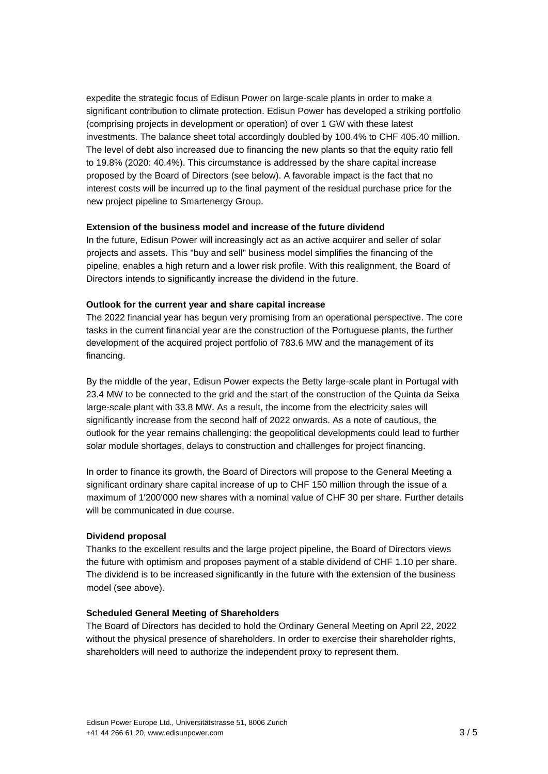expedite the strategic focus of Edisun Power on large-scale plants in order to make a significant contribution to climate protection. Edisun Power has developed a striking portfolio (comprising projects in development or operation) of over 1 GW with these latest investments. The balance sheet total accordingly doubled by 100.4% to CHF 405.40 million. The level of debt also increased due to financing the new plants so that the equity ratio fell to 19.8% (2020: 40.4%). This circumstance is addressed by the share capital increase proposed by the Board of Directors (see below). A favorable impact is the fact that no interest costs will be incurred up to the final payment of the residual purchase price for the new project pipeline to Smartenergy Group.

#### **Extension of the business model and increase of the future dividend**

In the future, Edisun Power will increasingly act as an active acquirer and seller of solar projects and assets. This "buy and sell" business model simplifies the financing of the pipeline, enables a high return and a lower risk profile. With this realignment, the Board of Directors intends to significantly increase the dividend in the future.

#### **Outlook for the current year and share capital increase**

The 2022 financial year has begun very promising from an operational perspective. The core tasks in the current financial year are the construction of the Portuguese plants, the further development of the acquired project portfolio of 783.6 MW and the management of its financing.

By the middle of the year, Edisun Power expects the Betty large-scale plant in Portugal with 23.4 MW to be connected to the grid and the start of the construction of the Quinta da Seixa large-scale plant with 33.8 MW. As a result, the income from the electricity sales will significantly increase from the second half of 2022 onwards. As a note of cautious, the outlook for the year remains challenging: the geopolitical developments could lead to further solar module shortages, delays to construction and challenges for project financing.

In order to finance its growth, the Board of Directors will propose to the General Meeting a significant ordinary share capital increase of up to CHF 150 million through the issue of a maximum of 1'200'000 new shares with a nominal value of CHF 30 per share. Further details will be communicated in due course.

#### **Dividend proposal**

Thanks to the excellent results and the large project pipeline, the Board of Directors views the future with optimism and proposes payment of a stable dividend of CHF 1.10 per share. The dividend is to be increased significantly in the future with the extension of the business model (see above).

#### **Scheduled General Meeting of Shareholders**

The Board of Directors has decided to hold the Ordinary General Meeting on April 22, 2022 without the physical presence of shareholders. In order to exercise their shareholder rights, shareholders will need to authorize the independent proxy to represent them.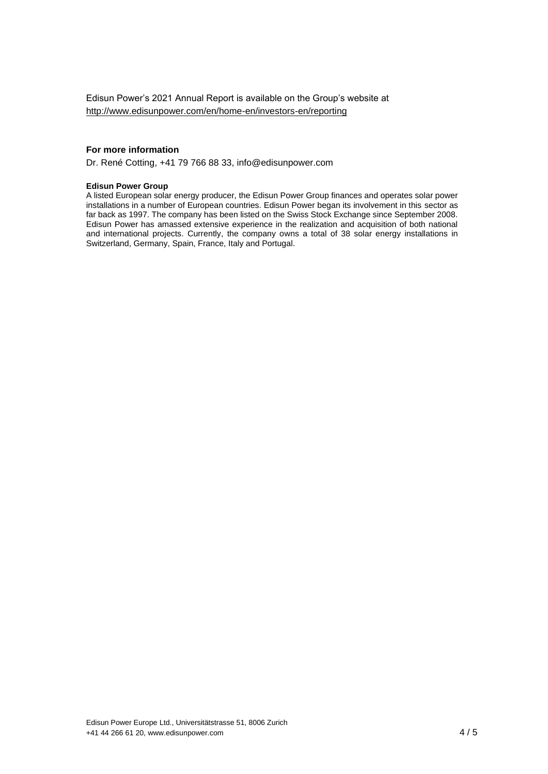Edisun Power's 2021 Annual Report is available on the Group's website at <http://www.edisunpower.com/en/home-en/investors-en/reporting>

#### **For more information**

Dr. René Cotting, +41 79 766 88 33, info@edisunpower.com

#### **Edisun Power Group**

A listed European solar energy producer, the Edisun Power Group finances and operates solar power installations in a number of European countries. Edisun Power began its involvement in this sector as far back as 1997. The company has been listed on the Swiss Stock Exchange since September 2008. Edisun Power has amassed extensive experience in the realization and acquisition of both national and international projects. Currently, the company owns a total of 38 solar energy installations in Switzerland, Germany, Spain, France, Italy and Portugal.